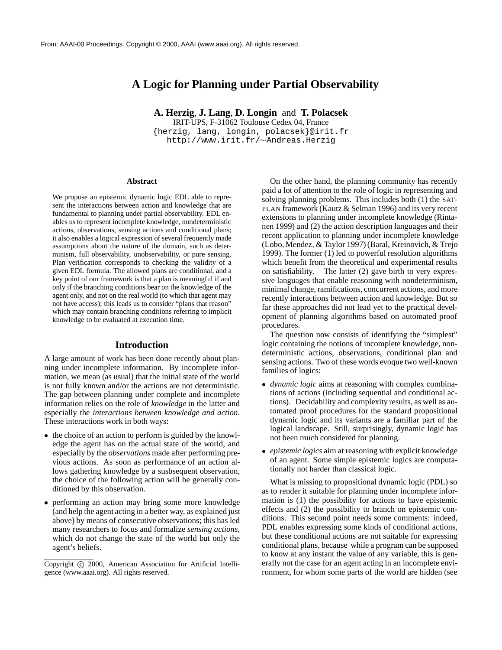# **A Logic for Planning under Partial Observability**

**A. Herzig**, **J. Lang**, **D. Longin** and **T. Polacsek**

IRIT-UPS, F-31062 Toulouse Cedex 04, France {herzig, lang, longin, polacsek}@irit.fr http://www.irit.fr/Andreas.Herzig

#### **Abstract**

We propose an epistemic dynamic logic EDL able to represent the interactions between action and knowledge that are fundamental to planning under partial observability. EDL enables us to represent incomplete knowledge, nondeterministic actions, observations, sensing actions and conditional plans; it also enables a logical expression of several frequently made assumptions about the nature of the domain, such as determinism, full observability, unobservability, or pure sensing. Plan verification corresponds to checking the validity of a given EDL formula. The allowed plans are conditional, and a key point of our framework is that a plan is meaningful if and only if the branching conditions bear on the knowledge of the agent only, and not on the real world (to which that agent may not have access); this leads us to consider "plans that reason" which may contain branching conditions referring to implicit knowledge to be evaluated at execution time.

#### **Introduction**

A large amount of work has been done recently about planning under incomplete information. By incomplete information, we mean (as usual) that the initial state of the world is not fully known and/or the actions are not deterministic. The gap between planning under complete and incomplete information relies on the role of *knowledge* in the latter and especially the *interactions between knowledge and action*. These interactions work in both ways:

- the choice of an action to perform is guided by the knowledge the agent has on the actual state of the world, and especially by the *observations* made after performing previous actions. As soon as performance of an action allows gathering knowledge by a susbsequent observation, the choice of the following action will be generally conditioned by this observation.
- performing an action may bring some more knowledge (and help the agent acting in a better way, as explained just above) by means of consecutive observations; this has led many researchers to focus and formalize *sensing actions*, which do not change the state of the world but only the agent's beliefs.

On the other hand, the planning community has recently paid a lot of attention to the role of logic in representing and solving planning problems. This includes both (1) the SAT-PLAN framework (Kautz & Selman 1996) and its very recent extensions to planning under incomplete knowledge (Rintanen 1999) and (2) the action description languages and their recent application to planning under incomplete knowledge (Lobo, Mendez, & Taylor 1997) (Baral, Kreinovich, & Trejo 1999). The former (1) led to powerful resolution algorithms which benefit from the theoretical and experimental results on satisfiability. The latter (2) gave birth to very expressive languages that enable reasoning with nondeterminism, minimal change, ramifications, concurrent actions, and more recently interactions between action and knowledge. But so far these approaches did not lead yet to the practical development of planning algorithms based on automated proof procedures.

The question now consists of identifying the "simplest" logic containing the notions of incomplete knowledge, nondeterministic actions, observations, conditional plan and sensing actions. Two of these words evoque two well-known families of logics:

- *dynamic logic* aims at reasoning with complex combinations of actions (including sequential and conditional actions). Decidability and complexity results, as well as automated proof procedures for the standard propositional dynamic logic and its variants are a familiar part of the logical landscape. Still, surprisingly, dynamic logic has not been much considered for planning.
- *epistemic logics* aim at reasoning with explicit knowledge of an agent. Some simple epistemic logics are computationally not harder than classical logic.

What is missing to propositional dynamic logic (PDL) so as to render it suitable for planning under incomplete information is (1) the possibility for actions to have epistemic effects and (2) the possibility to branch on epistemic conditions. This second point needs some comments: indeed, PDL enables expressing some kinds of conditional actions, but these conditional actions are not suitable for expressing conditional plans, because while a program can be supposed to know at any instant the value of any variable, this is generally not the case for an agent acting in an incomplete environment, for whom some parts of the world are hidden (see

Copyright © 2000, American Association for Artificial Intelligence (www.aaai.org). All rights reserved.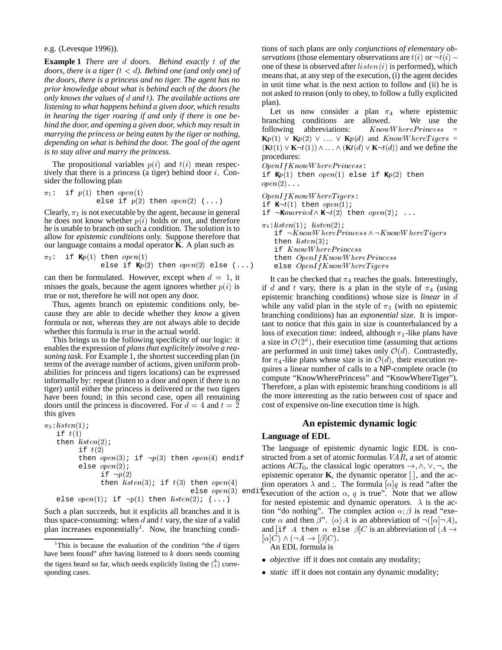e.g. (Levesque 1996)).

**Example 1** *There are* d *doors. Behind exactly* t *of the doors, there is a tiger (* $t < d$ *). Behind one (and only one) of the doors, there is a princess and no tiger. The agent has no prior knowledge about what is behind each of the doors (he only knows the values of* <sup>d</sup> *and* <sup>t</sup>*). The available actions are listening to what happens behind a given door, which results in hearing the tiger roaring if and only if there is one behind the door, and opening a given door, which may result in marrying the princess or being eaten by the tiger or nothing, depending on what is behind the door. The goal of the agent is to stay alive and marry the princess.*

The propositional variables  $p(i)$  and  $t(i)$  mean respectively that there is a princess (a tiger) behind door  $i$ . Consider the following plan

$$
\pi_1: \text{ if } p(1) \text{ then } open(1) \\ \text{else if } p(2) \text{ then } open(2) \ (\dots)
$$

Clearly,  $\pi_1$  is not executable by the agent, because in general he does not know whether  $p(i)$  holds or not, and therefore he is unable to branch on such a condition. The solution is to allow for *epistemic conditions* only. Suppose therefore that our language contains a modal operator **K**. A plan such as

$$
\pi_2: \text{ if } \mathbf{K}p(1) \text{ then } open(1) \\ \text{ else if } \mathbf{K}p(2) \text{ then } open(2) \text{ else } (\dots)
$$

can then be formulated. However, except when  $d = 1$ , it misses the goals, because the agent ignores whether  $p(i)$  is true or not, therefore he will not open any door.

Thus, agents branch on epistemic conditions only, because they are able to decide whether they *know* a given formula or not, whereas they are not always able to decide whether this formula is *true* in the actual world.

This brings us to the following specificity of our logic: it enables the expression of *plans that explicitely involve a reasoning task*. For Example 1, the shortest succeeding plan (in terms of the average number of actions, given uniform probabilities for princess and tigers locations) can be expressed informally by: repeat (listen to a door and open if there is no tiger) until either the princess is delivered or the two tigers have been found; in this second case, open all remaining doors until the princess is discovered. For  $d = 4$  and  $t = 2$ this gives

```
\pi_3:listen(1);
if t(1)then listen(2);
      if t(2)then open(3); if \neg p(3) then open(4) endif
      else open(2);
             if \neg p(2)then listen(3); if t(3) then open(4)else open(1); if \neg p(1) then listen(2); (...)
```
Such a plan succeeds, but it explicits all branches and it is thus space-consuming: when  $d$  and  $t$  vary, the size of a valid plan increases exponentially<sup>1</sup>. Now, the branching condi-

tions of such plans are only *conjunctions of elementary observations* (those elementary observations are  $t(i)$  or  $\neg t(i)$  – one of these is observed after  $listen(i)$  is performed), which means that, at any step of the execution, (i) the agent decides in unit time what is the next action to follow and (ii) he is not asked to reason (only to obey, to follow a fully explicited plan).

Let us now consider a plan  $\pi_4$  where epistemic branching conditions are allowed. We use the following abbreviations:  $KnowWherePriness =$  $\mathbf{K}p(1) \vee \mathbf{K}p(2) \vee \ldots \vee \mathbf{K}p(d)$  and  $KnowWhereTigers =$  $(Kt(1) \vee K\neg t(1)) \wedge \dots \wedge (Kt(d) \vee K\neg t(d))$  and we define the procedures:

OpenIfKnowW hereP rincess:

if **K**p(1) then open(1) else if **K**p(2) then  $open(2) \ldots$ 

 $OpenIf KnowWhereT \, igers:$ if  $\mathbf{K} \neg t(1)$  then *open*(1); if  $\neg$ **K***married*  $\land$  **K** $\neg$ *t*(2) then *open*(2); ...  $\pi_4: listen(1);$  listen(2); if  $\neg KnowWhere Princess \land \neg KnowWhereTigers$ then  $listen(3)$ ; if KnowW hereP rincess then  $OpenIf KnowWherePriness$ else  $OpenIf KnowWhereTigers$ 

It can be checked that  $\pi_4$  reaches the goals. Interestingly, if d and t vary, there is a plan in the style of  $\pi_4$  (using epistemic branching conditions) whose size is *linear* in <sup>d</sup> while any valid plan in the style of  $\pi_3$  (with no epistemic branching conditions) has an *exponential* size. It is important to notice that this gain in size is counterbalanced by a loss of execution time: indeed, although  $\pi_1$ -like plans have a size in  $\mathcal{O}(2^d)$ , their execution time (assuming that actions are performed in unit time) takes only  $\mathcal{O}(d)$ . Contrastedly, for  $\pi_4$ -like plans whose size is in  $\mathcal{O}(d)$ , their execution requires a linear number of calls to a NP-complete oracle (to compute "KnowWherePrincess" and "KnowWhereTiger"). Therefore, a plan with epistemic branching conditions is all the more interesting as the ratio between cost of space and cost of expensive on-line execution time is high.

## **An epistemic dynamic logic**

#### **Language of EDL**

else open(3) endifexecution of the action  $\alpha$ , q is true". Note that we allow The language of epistemic dynamic logic EDL is constructed from a set of atomic formulas  $VAR$ , a set of atomic actions  $ACT_0$ , the classical logic operators  $\rightarrow$ ,  $\land$ ,  $\lor$ ,  $\neg$ , the epistemic operator  $\bf{K}$ , the dynamic operator  $[.]$ , and the action operators  $\lambda$  and ;. The formula  $\lceil \alpha \rceil q$  is read "after the for nested epistemic and dynamic operators.  $\lambda$  is the action "do nothing". The complex action  $\alpha$ ;  $\beta$  is read "execute  $\alpha$  and then  $\beta$ ".  $\langle \alpha \rangle A$  is an abbreviation of  $\neg$  ([ $\alpha$ ] $\neg$ A), and [if A then  $\alpha$  else  $\beta$ ]C is an abbreviation of  $(A \rightarrow$  $[\alpha]C$   $\wedge$   $(\neg A \rightarrow [\beta]C)$ .

An EDL formula is

- *objective* iff it does not contain any modality;
- *static* iff it does not contain any dynamic modality;

<sup>&</sup>lt;sup>1</sup>This is because the evaluation of the condition "the  $d$  tigers" have been found" after having listened to  $k$  doors needs counting the tigers heard so far, which needs explicitly listing the  $\binom{k}{t}$  corresponding cases.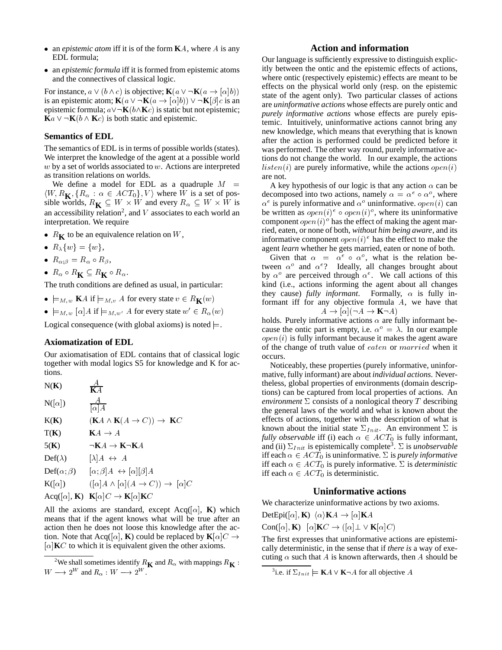- an *epistemic atom* iff it is of the form **K**A, where A is any EDL formula;
- an *epistemic formula* iff it is formed from epistemic atoms and the connectives of classical logic.

For instance,  $a \vee (b \wedge c)$  is objective; **K**( $a \vee \neg$ **K**( $a \rightarrow [\alpha]b$ )) is an epistemic atom;  $\mathbf{K}(a \vee \neg \mathbf{K}(a \rightarrow |\alpha|b)) \vee \neg \mathbf{K}[\beta]c$  is an epistemic formula;  $a \vee \neg \mathbf{K}(b \wedge \mathbf{K}c)$  is static but not epistemic;  $\mathbf{K}a \vee \neg \mathbf{K}(b \wedge \mathbf{K}c)$  is both static and epistemic.

## **Semantics of EDL**

The semantics of EDL is in terms of possible worlds (states). We interpret the knowledge of the agent at a possible world  $w$  by a set of worlds associated to  $w$ . Actions are interpreted as transition relations on worlds.

We define a model for EDL as a quadruple  $M =$  $\langle W, R_{\mathbf{K}}, \{R_{\alpha} : \alpha \in ACT_0\}, V \rangle$  where W is a set of possible worlds,  $R_{\mathbf{K}} \subseteq W \times W$  and every  $R_{\alpha} \subseteq W \times W$  is  $\alpha$ an accessibility relation<sup>2</sup>, and  $V$  associates to each world an interpretation. We require

- $R_K$  to be an equivalence relation on W,
- $R_{\lambda}\{w\} = \{w\},\,$
- $R_{\alpha;\beta} = R_{\alpha} \circ R_{\beta},$
- $R_{\alpha} \circ R_{\mathbf{K}} \subseteq R_{\mathbf{K}} \circ R_{\alpha}$ .

The truth conditions are defined as usual, in particular:

- $\bullet \models_{M,w} \mathbf{K}$  if  $\models_{M,v} A$  for every state  $v \in R_{\mathbf{K}}(w)$
- $\bullet \models_{M,w} [\alpha] A \text{ if } \models_{M,w'} A \text{ for every state } w' \in R_\alpha(w)$

Logical consequence (with global axioms) is noted  $\models$ .

## **Axiomatization of EDL**

Our axiomatisation of EDL contains that of classical logic together with modal logics S5 for knowledge and K for actions.

N(K) 
$$
\frac{A}{KA}
$$
  
N([ $\alpha$ ])  $\frac{A}{[\alpha]A}$ 

$$
K(K) \qquad (KA \wedge K(A \to C)) \to KC
$$

$$
T(K) \qquad K A \to A
$$

$$
5(K) \qquad \qquad \neg K A \to K \neg K A
$$

$$
\mathrm{Def}(\lambda) \qquad [\lambda]A \leftrightarrow A
$$

$$
\text{Def}(\alpha;\beta) \qquad [\alpha;\beta]A \; \leftrightarrow [\alpha][\beta]A
$$

$$
\mathbf{K}([\alpha]) \qquad \left( [\alpha]A \wedge [\alpha](A \to C) \right) \to [\alpha]C
$$

$$
\text{Acq}([\alpha], \mathbf{K}) \quad \mathbf{K}[\alpha]C \to \mathbf{K}[\alpha]\mathbf{K}C
$$

All the axioms are standard, except Acq( $[\alpha]$ , **K**) which means that if the agent knows what will be true after an action then he does not loose this knowledge after the action. Note that Acq([ $\alpha$ ], **K**) could be replaced by  $\mathbf{K}[\alpha]C \rightarrow$  $[\alpha]$ **K**C to which it is equivalent given the other axioms.

### **Action and information**

Our language is sufficiently expressive to distinguish explicitly between the ontic and the epistemic effects of actions, where ontic (respectively epistemic) effects are meant to be effects on the physical world only (resp. on the epistemic state of the agent only). Two particular classes of actions are *uninformative actions* whose effects are purely ontic and *purely informative actions* whose effects are purely epistemic. Intuitively, uninformative actions cannot bring any new knowledge, which means that everything that is known after the action is performed could be predicted before it was performed. The other way round, purely informative actions do not change the world. In our example, the actions  $listen(i)$  are purely informative, while the actions  $open(i)$ are not.

W is  $\alpha^e$  is purely informative and  $\alpha^o$  uninformative. *open(i)* can A key hypothesis of our logic is that any action  $\alpha$  can be decomposed into two actions, namely  $\alpha = \alpha^e \circ \alpha^o$ , where be written as  $open(i)^e \circ open(i)^o$ , where its uninformative component  $open(i)^{\circ}$  has the effect of making the agent married, eaten, or none of both, *without him being aware*, and its informative component  $open(i)^e$  has the effect to make the agent *learn* whether he gets married, eaten or none of both.

Given that  $\alpha = \alpha^e \circ \alpha^o$ , what is the relation between  $\alpha^o$  and  $\alpha^e$ ? Ideally, all changes brought about by  $\alpha^{\circ}$  are perceived through  $\alpha^{\circ}$ . We call actions of this kind (i.e., actions informing the agent about all changes they cause) *fully informant*. Formally,  $\alpha$  is fully informant iff for any objective formula A, we have that  $A \to [\alpha] (\neg A \to \mathbf{K} \neg A)$ 

holds. Purely informative actions  $\alpha$  are fully informant because the ontic part is empty, i.e.  $\alpha^{\circ} = \lambda$ . In our example  $open(i)$  is fully informant because it makes the agent aware of the change of truth value of eaten or married when it occurs.

Noticeably, these properties (purely informative, uninformative, fully informant) are about *individual actions*. Nevertheless, global properties of environments (domain descriptions) can be captured from local properties of actions. An *environment*  $\Sigma$  consists of a nonlogical theory  $T$  describing the general laws of the world and what is known about the effects of actions, together with the description of what is known about the initial state  $\Sigma_{Init}$ . An environment  $\Sigma$  is *fully observable* iff (i) each  $\alpha \in ACT_0$  is fully informant, and (ii)  $\Sigma_{Init}$  is epistemically complete<sup>3</sup>.  $\Sigma$  is *unobservable* iff each  $\alpha \in ACT_0$  is uninformative.  $\Sigma$  is *purely informative* iff each  $\alpha \in ACT_0$  is purely informative.  $\Sigma$  is *deterministic* iff each  $\alpha \in ACT_0$  is deterministic.

## **Uninformative actions**

We characterize uninformative actions by two axioms.

 $DetEpi([\alpha], \mathbf{K}) \langle \alpha \rangle \mathbf{K}A \rightarrow [\alpha] \mathbf{K}A$ 

 $Con([\alpha], K) \quad [\alpha]K\mathbb{C} \to ([\alpha] \perp \vee K[\alpha]\mathbb{C})$ 

The first expresses that uninformative actions are epistemically deterministic, in the sense that if *there is* a way of executing  $\alpha$  such that A is known afterwards, then A should be

<sup>&</sup>lt;sup>2</sup>We shall sometimes identify  $R_K$  and  $R_\alpha$  with mappings  $R_K$  :  $W \longrightarrow 2^W$  and  $R_\alpha$  :  $W \longrightarrow 2^W$ .

<sup>&</sup>lt;sup>3</sup>i.e. if  $\Sigma_{Init} \models \mathbf{K}A \vee \mathbf{K} \neg A$  for all objective A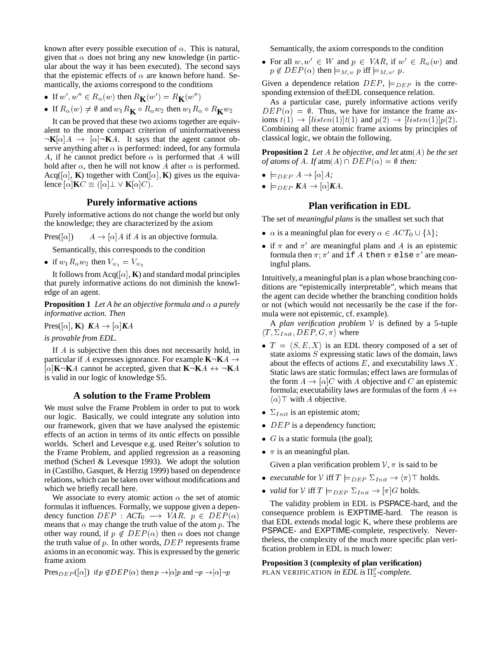known after every possible execution of  $\alpha$ . This is natural, given that  $\alpha$  does not bring any new knowledge (in particular about the way it has been executed). The second says that the epistemic effects of  $\alpha$  are known before hand. Semantically, the axioms correspond to the conditions

- If  $w', w'' \in R_\alpha(w)$  then  $R_K(w') = R_K(w'')$
- If  $R_{\alpha}(w) \neq \emptyset$  and  $w_1 R_{\mathbf{K}} \circ R_{\alpha} w_2$  then  $w_1 R_{\alpha} \circ R_{\mathbf{K}} w_2$

It can be proved that these two axioms together are equivalent to the more compact criterion of uninformativeness  $\neg K[\alpha]A \rightarrow [\alpha]\neg K A$ . It says that the agent cannot observe anything after  $\alpha$  is performed: indeed, for any formula A, if he cannot predict before  $\alpha$  is performed that A will hold after  $\alpha$ , then he will not know A after  $\alpha$  is performed. Acq([ $\alpha$ ], **K**) together with Con( $[\alpha]$ , **K**) gives us the equivalence  $[\alpha]$ **K** $C \equiv ([\alpha] \perp \vee \mathbf{K}[\alpha]C)$ .

## **Purely informative actions**

Purely informative actions do not change the world but only the knowledge; they are characterized by the axiom

Pres([ $\alpha$ ])  $A \rightarrow [\alpha]A$  if A is an objective formula.

Semantically, this corresponds to the condition

• if  $w_1R_\alpha w_2$  then  $V_{w_1} = V_{w_2}$ 

It follows from  $Acq([\alpha], K)$  and standard modal principles that purely informative actions do not diminish the knowledge of an agent.

**Proposition 1** *Let A be an objective formula and*  $\alpha$  *a purely informative action. Then*

 $\text{Pres}([\alpha], \mathbf{K}) \, K\mathcal{A} \to [\alpha] \mathbf{K}\mathcal{A}$ 

*is provable from EDL.*

If A is subjective then this does not necessarily hold, in particular if A expresses ignorance. For example  $K\neg K A \rightarrow$  $[\alpha]$ **K** $\neg$ **K** $A$  cannot be accepted, given that **K** $\neg$ **K** $A \leftrightarrow \neg$ **K** $A$ is valid in our logic of knowledge S5.

#### **A solution to the Frame Problem**

We must solve the Frame Problem in order to put to work our logic. Basically, we could integrate any solution into our framework, given that we have analysed the epistemic effects of an action in terms of its ontic effects on possible worlds. Scherl and Levesque e.g. used Reiter's solution to the Frame Problem, and applied regression as a reasoning method (Scherl & Levesque 1993). We adopt the solution in (Castilho, Gasquet, & Herzig 1999) based on dependence relations, which can be taken over without modifications and which we briefly recall here.

We associate to every atomic action  $\alpha$  the set of atomic formulas it influences. Formally, we suppose given a dependency function  $DEF : ACT_0 \longrightarrow VAR$ .  $p \in DEP(\alpha)$ means that  $\alpha$  may change the truth value of the atom p. The other way round, if  $p \notin DEP(\alpha)$  then  $\alpha$  does not change the truth value of  $p$ . In other words,  $DEP$  represents frame axioms in an economic way. This is expressed by the generic frame axiom

Pres<sub>DEP</sub>(
$$
\alpha
$$
) if  $p \notin DEP(\alpha)$  then  $p \rightarrow |\alpha|p$  and  $\neg p \rightarrow |\alpha|\neg p$ 

Semantically, the axiom corresponds to the condition

• For all  $w, w' \in W$  and  $p \in VAR$ , if  $w' \in R_{\alpha}(w)$  and  $p \notin DEP(\alpha)$  then  $\models_{M,w} p$  iff  $\models_{M,w'} p$ .

Given a dependence relation  $DEF$ ,  $\models_{DEP}$  is the corresponding extension of theEDL consequence relation.

As a particular case, purely informative actions verify  $DEP(\alpha) = \emptyset$ . Thus, we have for instance the frame axioms  $t(1) \rightarrow [listen(1)]t(1)$  and  $p(2) \rightarrow [listen(1)]p(2)$ . Combining all these atomic frame axioms by principles of classical logic, we obtain the following.

**Proposition 2** *Let* A *be objective, and let* atm(A) *be the set of atoms of A. If*  $atm(A) \cap DEP(\alpha) = \emptyset$  *then:* 

- $\bullet \models_{DEP} A \rightarrow [\alpha]A;$
- $\bullet \models_{DEP} KA \rightarrow [\alpha]KA.$

## **Plan verification in EDL**

The set of *meaningful plans* is the smallest set such that

- $\alpha$  is a meaningful plan for every  $\alpha \in ACT_0 \cup \{\lambda\};$
- if  $\pi$  and  $\pi'$  are meaningful plans and A is an epistemic formula then  $\pi; \pi'$  and if  $A$  then  $\pi$  else  $\pi'$  are meaningful plans.

Intuitively, a meaningful plan is a plan whose branching conditions are "epistemically interpretable", which means that the agent can decide whether the branching condition holds or not (which would not necessarily be the case if the formula were not epistemic, cf. example).

A *plan verification problem* <sup>V</sup> is defined by a 5-tuple  $\langle T, \Sigma_{Init}, DEP, G, \pi \rangle$  where

- $T = \langle S, E, X \rangle$  is an EDL theory composed of a set of state axioms <sup>S</sup> expressing static laws of the domain, laws about the effects of actions  $E$ , and executability laws  $X$ . Static laws are static formulas; effect laws are formulas of the form  $A \to [\alpha]C$  with A objective and C an epistemic formula; executability laws are formulas of the form  $A \leftrightarrow$  $\langle \alpha \rangle$  with A objective.
- $\bullet$   $\Sigma_{Init}$  is an epistemic atom;
- $DEP$  is a dependency function;
- $G$  is a static formula (the goal);
- $\pi$  is an meaningful plan.

Given a plan verification problem  $V$ ,  $\pi$  is said to be

- *executable* for  $V$  iff  $T \models_{DEP} \Sigma_{Init} \rightarrow \langle \pi \rangle \top$  holds.
- *valid* for *V* iff  $T \models_{DEP} \Sigma_{Init} \rightarrow [\pi]G$  holds.

The validity problem in EDL is PSPACE-hard, and the consequence problem is EXPTIME-hard. The reason is that EDL extends modal logic K, where these problems are PSPACE- and EXPTIME-complete, respectively. Nevertheless, the complexity of the much more specific plan verification problem in EDL is much lower:

#### **Proposition 3 (complexity of plan verification)**

PLAN VERIFICATION *in EDL is*  $\Pi_2^p$ -complete.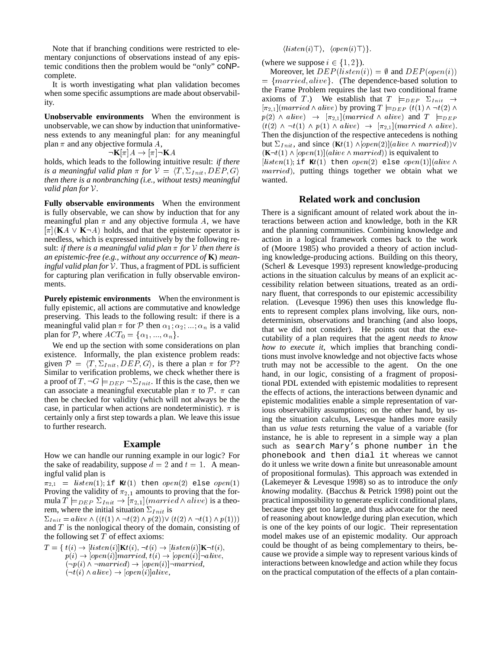Note that if branching conditions were restricted to elementary conjunctions of observations instead of any epistemic conditions then the problem would be "only" coNPcomplete.

It is worth investigating what plan validation becomes when some specific assumptions are made about observability.

**Unobservable environments** When the environment is unobservable, we can show by induction that uninformativeness extends to any meaningful plan: for any meaningful plan  $\pi$  and any objective formula A,

$$
\neg \mathbf{K}[\pi]A \to [\pi] \neg \mathbf{K}A
$$

holds, which leads to the following intuitive result: *if there is a meaningful valid plan*  $\pi$  *for*  $V = \langle T, \Sigma_{Init}, DEP, G \rangle$ *then there is a nonbranching (i.e., without tests) meaningful valid plan for* <sup>V</sup>*.*

**Fully observable environments** When the environment is fully observable, we can show by induction that for any meaningful plan  $\pi$  and any objective formula A, we have  $[\pi]$ (**K** $A \vee \mathbf{K} \neg A$ ) holds, and that the epistemic operator is needless, which is expressed intuitively by the following result: *if there is a meaningful valid plan*  $\pi$  *for*  $V$  *then there is an epistemic-free (e.g., without any occurrence of* **K**) *meaningful valid plan for* <sup>V</sup>*.* Thus, a fragment of PDL is sufficient for capturing plan verification in fully observable environments.

**Purely epistemic environments** When the environment is fully epistemic, all actions are commutative and knowledge preserving. This leads to the following result: if there is a meaningful valid plan  $\pi$  for  $P$  then  $\alpha_1; \alpha_2; \dots; \alpha_n$  is a valid plan for P, where  $ACT_0 = {\alpha_1, ..., \alpha_n}.$ 

We end up the section with some considerations on plan existence. Informally, the plan existence problem reads: given  $P = \langle T, \Sigma_{Init}, DEP, G \rangle$ , is there a plan  $\pi$  for P? Similar to verification problems, we check whether there is a proof of  $T, \neg G \models_{DEP} \neg \Sigma_{Init}$ . If this is the case, then we can associate a meaningful executable plan  $\pi$  to  $\mathcal{P}$ .  $\pi$  can then be checked for validity (which will not always be the case, in particular when actions are nondeterministic).  $\pi$  is certainly only a first step towards a plan. We leave this issue to further research.

#### **Example**

How we can handle our running example in our logic? For the sake of readability, suppose  $d = 2$  and  $t = 1$ . A meaningful valid plan is

 $\pi_{2,1}$  = listen(1); if **K**t(1) then open(2) else open(1) Proving the validity of  $\pi_{2,1}$  amounts to proving that the formula  $T \models_{DEP} \Sigma_{Init} \rightarrow [\pi_{2,1}](married \wedge alive)$  is a theorem, where the initial situation  $\Sigma_{Init}$  is

 $\Sigma_{Init} = alive \wedge ((t(1) \wedge \neg t(2) \wedge p(2)) \vee (t(2) \wedge \neg t(1) \wedge p(1)))$ and  $T$  is the nonlogical theory of the domain, consisting of the following set  $T$  of effect axioms:

$$
T = \{ t(i) \rightarrow [listen(i)]\mathbf{K}t(i), \neg t(i) \rightarrow [listen(i)]\mathbf{K} \neg t(i),
$$
  
\n
$$
p(i) \rightarrow [open(i)]married, t(i) \rightarrow [open(i)]\neg alive,
$$
  
\n
$$
(\neg p(i) \land \neg married) \rightarrow [open(i)]\neg married,
$$
  
\n
$$
(\neg t(i) \land alive) \rightarrow [open(i)]alive,
$$

 $\langle listen(i)\top\rangle, \langle open(i)\top\rangle\}.$ 

(where we suppose  $i \in \{1, 2\}$ ).

Moreover, let  $DEP(listen(i)) = \emptyset$  and  $DEP(open(i))$  $= \{married, alive\}.$  (The dependence-based solution to the Frame Problem requires the last two conditional frame axioms of T.) We establish that  $T \models_{DEF} \Sigma_{Init} \rightarrow$  $[\pi_{2,1}](married \wedge alive)$  by proving  $T \models_{DEP} (t(1) \wedge \neg t(2) \wedge \neg t(3))$  $p(2) \wedge alive)$   $\rightarrow$   $[\pi_{2,1}](married \wedge alive)$  and  $T \models_{DEP}$  $(t(2) \wedge \neg t(1) \wedge p(1) \wedge alive) \rightarrow [\pi_{2,1}](married \wedge alive).$ Then the disjunction of the respective antecedens is nothing but  $\Sigma_{Init}$ , and since  $(\mathbf{K}t(1) \land [open(2)](alive \land married)) \lor$  $(K\neg t(1) \wedge [open(1)] (alive \wedge married))$  is equivalent to

 $[listen(1); if **K***t*(1) then open(2) else open(1)] (alive \wedge$ married), putting things together we obtain what we wanted.

#### **Related work and conclusion**

There is a significant amount of related work about the interactions between action and knowledge, both in the KR and the planning communities. Combining knowledge and action in a logical framework comes back to the work of (Moore 1985) who provided a theory of action including knowledge-producing actions. Building on this theory, (Scherl & Levesque 1993) represent knowledge-producing actions in the situation calculus by means of an explicit accessibility relation between situations, treated as an ordinary fluent, that corresponds to our epistemic accessibility relation. (Levesque 1996) then uses this knowledge fluents to represent complex plans involving, like ours, nondeterminism, observations and branching (and also loops, that we did not consider). He points out that the executability of a plan requires that the agent *needs to know how to execute it*, which implies that branching conditions must involve knowledge and not objective facts whose truth may not be accessible to the agent. On the one hand, in our logic, consisting of a fragment of propositional PDL extended with epistemic modalities to represent the effects of actions, the interactions between dynamic and epistemic modalities enable a simple representation of various observability assumptions; on the other hand, by using the situation calculus, Levesque handles more easily than us *value tests* returning the value of a variable (for instance, he is able to represent in a simple way a plan such as search Mary's phone number in the phonebook and then dial it whereas we cannot do it unless we write down a finite but unreasonable amount of propositional formulas). This approach was extended in (Lakemeyer & Levesque 1998) so as to introduce the *only knowing* modality. (Bacchus & Petrick 1998) point out the practical impossibility to generate explicit conditional plans, because they get too large, and thus advocate for the need of reasoning about knowledge during plan execution, which is one of the key points of our logic. Their representation model makes use of an epistemic modality. Our approach could be thought of as being complementary to theirs, because we provide a simple way to represent various kinds of interactions between knowledge and action while they focus on the practical computation of the effects of a plan contain